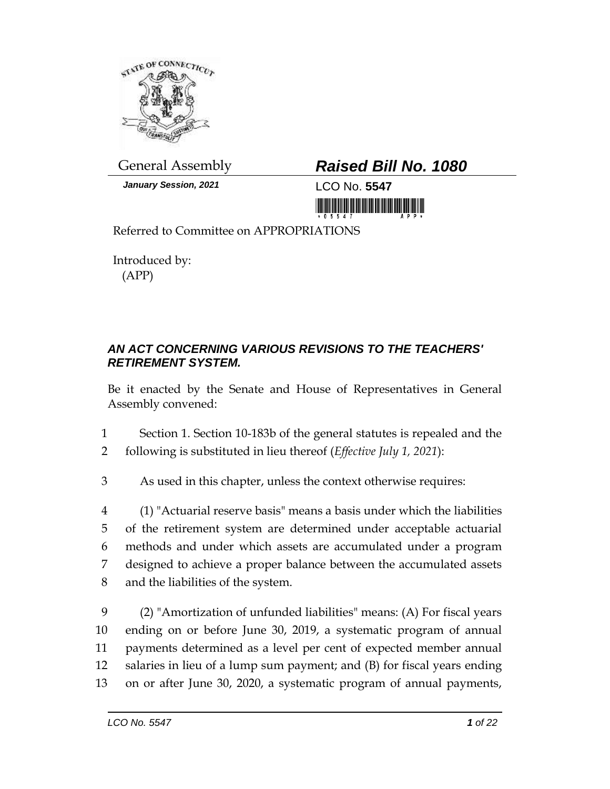

*January Session, 2021* LCO No. **5547**

## General Assembly *Raised Bill No. 1080*

Referred to Committee on APPROPRIATIONS

Introduced by: (APP)

## *AN ACT CONCERNING VARIOUS REVISIONS TO THE TEACHERS' RETIREMENT SYSTEM.*

Be it enacted by the Senate and House of Representatives in General Assembly convened:

1 Section 1. Section 10-183b of the general statutes is repealed and the

2 following is substituted in lieu thereof (*Effective July 1, 2021*):

3 As used in this chapter, unless the context otherwise requires:

 (1) "Actuarial reserve basis" means a basis under which the liabilities of the retirement system are determined under acceptable actuarial methods and under which assets are accumulated under a program designed to achieve a proper balance between the accumulated assets and the liabilities of the system.

 (2) "Amortization of unfunded liabilities" means: (A) For fiscal years ending on or before June 30, 2019, a systematic program of annual payments determined as a level per cent of expected member annual salaries in lieu of a lump sum payment; and (B) for fiscal years ending on or after June 30, 2020, a systematic program of annual payments,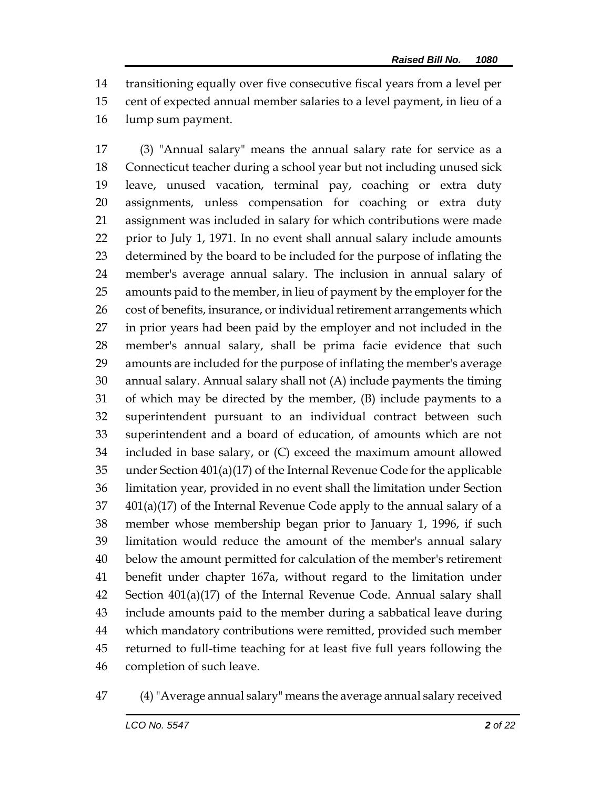transitioning equally over five consecutive fiscal years from a level per cent of expected annual member salaries to a level payment, in lieu of a lump sum payment.

 (3) "Annual salary" means the annual salary rate for service as a Connecticut teacher during a school year but not including unused sick leave, unused vacation, terminal pay, coaching or extra duty assignments, unless compensation for coaching or extra duty assignment was included in salary for which contributions were made prior to July 1, 1971. In no event shall annual salary include amounts determined by the board to be included for the purpose of inflating the member's average annual salary. The inclusion in annual salary of amounts paid to the member, in lieu of payment by the employer for the 26 cost of benefits, insurance, or individual retirement arrangements which in prior years had been paid by the employer and not included in the member's annual salary, shall be prima facie evidence that such amounts are included for the purpose of inflating the member's average annual salary. Annual salary shall not (A) include payments the timing of which may be directed by the member, (B) include payments to a superintendent pursuant to an individual contract between such superintendent and a board of education, of amounts which are not included in base salary, or (C) exceed the maximum amount allowed under Section 401(a)(17) of the Internal Revenue Code for the applicable limitation year, provided in no event shall the limitation under Section  $401(a)(17)$  of the Internal Revenue Code apply to the annual salary of a member whose membership began prior to January 1, 1996, if such limitation would reduce the amount of the member's annual salary below the amount permitted for calculation of the member's retirement benefit under chapter 167a, without regard to the limitation under Section 401(a)(17) of the Internal Revenue Code. Annual salary shall include amounts paid to the member during a sabbatical leave during which mandatory contributions were remitted, provided such member returned to full-time teaching for at least five full years following the completion of such leave.

(4)"Average annual salary" means the average annual salary received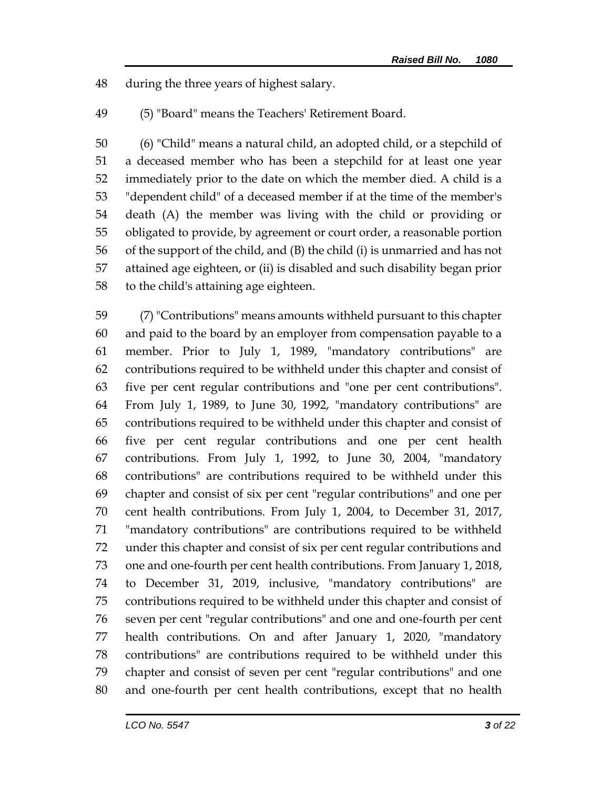during the three years of highest salary.

(5) "Board" means the Teachers' Retirement Board.

 (6) "Child" means a natural child, an adopted child, or a stepchild of a deceased member who has been a stepchild for at least one year immediately prior to the date on which the member died. A child is a "dependent child" of a deceased member if at the time of the member's death (A) the member was living with the child or providing or obligated to provide, by agreement or court order, a reasonable portion of the support of the child, and (B) the child (i) is unmarried and has not attained age eighteen, or (ii) is disabled and such disability began prior to the child's attaining age eighteen.

 (7) "Contributions" means amounts withheld pursuant to this chapter and paid to the board by an employer from compensation payable to a member. Prior to July 1, 1989, "mandatory contributions" are contributions required to be withheld under this chapter and consist of five per cent regular contributions and "one per cent contributions". From July 1, 1989, to June 30, 1992, "mandatory contributions" are contributions required to be withheld under this chapter and consist of five per cent regular contributions and one per cent health contributions. From July 1, 1992, to June 30, 2004, "mandatory contributions" are contributions required to be withheld under this chapter and consist of six per cent "regular contributions" and one per cent health contributions. From July 1, 2004, to December 31, 2017, "mandatory contributions" are contributions required to be withheld under this chapter and consist of six per cent regular contributions and one and one-fourth per cent health contributions. From January 1, 2018, to December 31, 2019, inclusive, "mandatory contributions" are contributions required to be withheld under this chapter and consist of seven per cent "regular contributions" and one and one-fourth per cent health contributions. On and after January 1, 2020, "mandatory contributions" are contributions required to be withheld under this chapter and consist of seven per cent "regular contributions" and one and one-fourth per cent health contributions, except that no health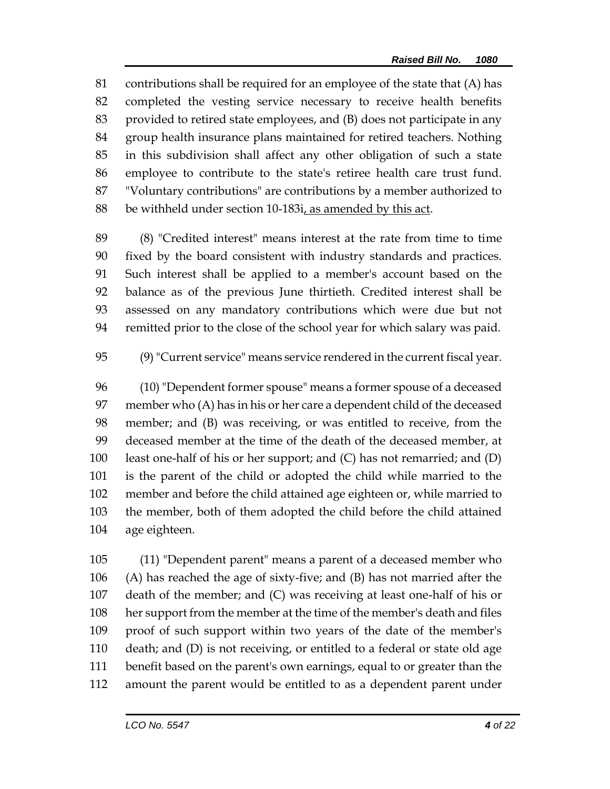contributions shall be required for an employee of the state that (A) has completed the vesting service necessary to receive health benefits provided to retired state employees, and (B) does not participate in any group health insurance plans maintained for retired teachers. Nothing in this subdivision shall affect any other obligation of such a state employee to contribute to the state's retiree health care trust fund. "Voluntary contributions" are contributions by a member authorized to 88 be withheld under section 10-183i, as amended by this act.

 (8) "Credited interest" means interest at the rate from time to time fixed by the board consistent with industry standards and practices. Such interest shall be applied to a member's account based on the balance as of the previous June thirtieth. Credited interest shall be assessed on any mandatory contributions which were due but not remitted prior to the close of the school year for which salary was paid.

(9)"Current service" means service rendered in the current fiscal year.

 (10) "Dependent former spouse" means a former spouse of a deceased member who (A) has in his or her care a dependent child of the deceased member; and (B) was receiving, or was entitled to receive, from the deceased member at the time of the death of the deceased member, at least one-half of his or her support; and (C) has not remarried; and (D) is the parent of the child or adopted the child while married to the member and before the child attained age eighteen or, while married to the member, both of them adopted the child before the child attained age eighteen.

 (11) "Dependent parent" means a parent of a deceased member who (A) has reached the age of sixty-five; and (B) has not married after the death of the member; and (C) was receiving at least one-half of his or her support from the member at the time of the member's death and files proof of such support within two years of the date of the member's death; and (D) is not receiving, or entitled to a federal or state old age benefit based on the parent's own earnings, equal to or greater than the amount the parent would be entitled to as a dependent parent under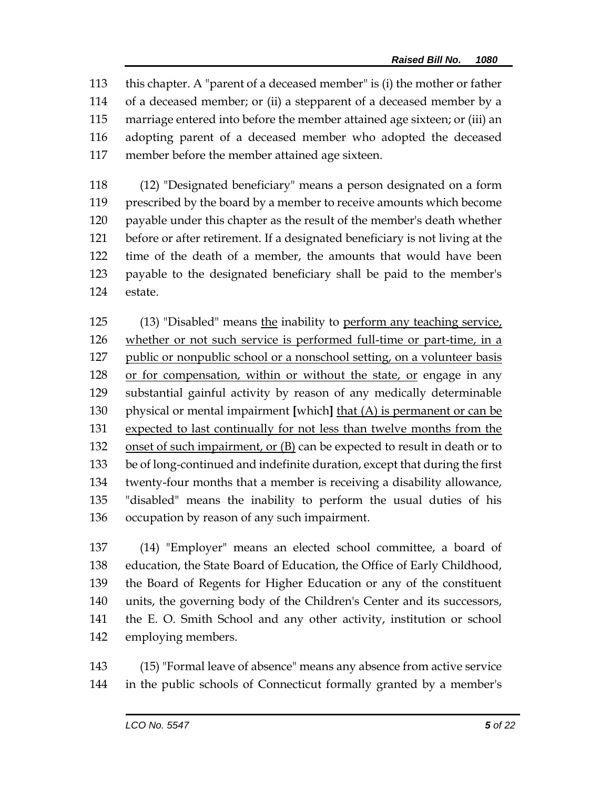this chapter. A "parent of a deceased member" is (i) the mother or father of a deceased member; or (ii) a stepparent of a deceased member by a marriage entered into before the member attained age sixteen; or (iii) an adopting parent of a deceased member who adopted the deceased member before the member attained age sixteen.

 (12) "Designated beneficiary" means a person designated on a form prescribed by the board by a member to receive amounts which become payable under this chapter as the result of the member's death whether before or after retirement. If a designated beneficiary is not living at the time of the death of a member, the amounts that would have been payable to the designated beneficiary shall be paid to the member's estate.

125 (13) "Disabled" means the inability to perform any teaching service, whether or not such service is performed full-time or part-time, in a 127 public or nonpublic school or a nonschool setting, on a volunteer basis or for compensation, within or without the state, or engage in any substantial gainful activity by reason of any medically determinable physical or mental impairment **[**which**]** that (A) is permanent or can be expected to last continually for not less than twelve months from the onset of such impairment, or (B) can be expected to result in death or to be of long-continued and indefinite duration, except that during the first twenty-four months that a member is receiving a disability allowance, "disabled" means the inability to perform the usual duties of his occupation by reason of any such impairment.

 (14) "Employer" means an elected school committee, a board of education, the State Board of Education, the Office of Early Childhood, the Board of Regents for Higher Education or any of the constituent units, the governing body of the Children's Center and its successors, the E. O. Smith School and any other activity, institution or school employing members.

 (15) "Formal leave of absence" means any absence from active service in the public schools of Connecticut formally granted by a member's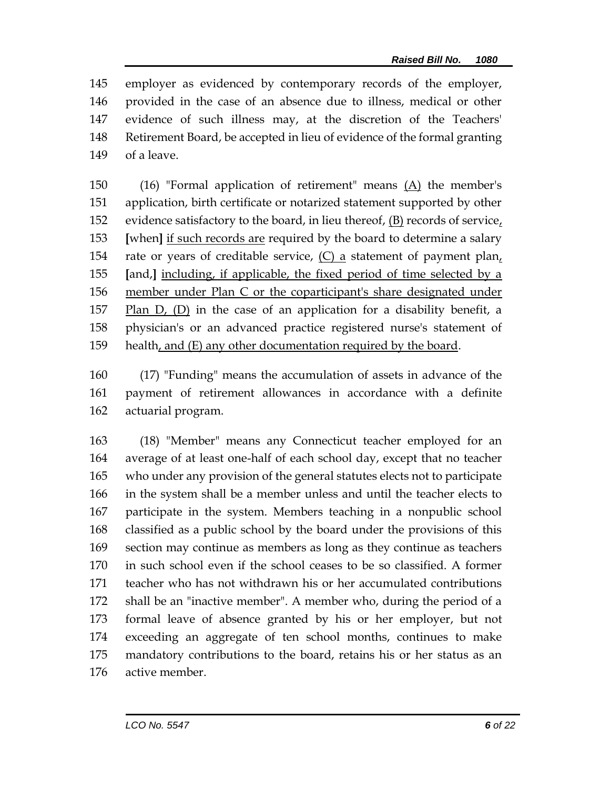employer as evidenced by contemporary records of the employer, provided in the case of an absence due to illness, medical or other evidence of such illness may, at the discretion of the Teachers' Retirement Board, be accepted in lieu of evidence of the formal granting of a leave.

 (16) "Formal application of retirement" means (A) the member's application, birth certificate or notarized statement supported by other 152 evidence satisfactory to the board, in lieu thereof,  $(B)$  records of service, **[**when**]** if such records are required by the board to determine a salary 154 rate or years of creditable service,  $(C)$  a statement of payment plan, **[**and,**]** including, if applicable, the fixed period of time selected by a member under Plan C or the coparticipant's share designated under Plan D, (D) in the case of an application for a disability benefit, a physician's or an advanced practice registered nurse's statement of health, and (E) any other documentation required by the board.

 (17) "Funding" means the accumulation of assets in advance of the payment of retirement allowances in accordance with a definite actuarial program.

 (18) "Member" means any Connecticut teacher employed for an average of at least one-half of each school day, except that no teacher who under any provision of the general statutes elects not to participate in the system shall be a member unless and until the teacher elects to participate in the system. Members teaching in a nonpublic school classified as a public school by the board under the provisions of this section may continue as members as long as they continue as teachers in such school even if the school ceases to be so classified. A former teacher who has not withdrawn his or her accumulated contributions shall be an "inactive member". A member who, during the period of a formal leave of absence granted by his or her employer, but not exceeding an aggregate of ten school months, continues to make mandatory contributions to the board, retains his or her status as an active member.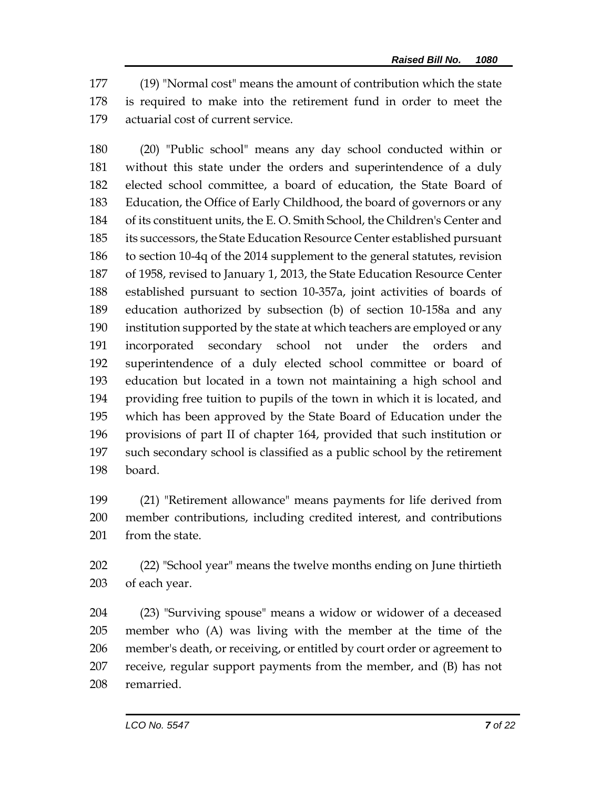(19) "Normal cost" means the amount of contribution which the state is required to make into the retirement fund in order to meet the actuarial cost of current service.

 (20) "Public school" means any day school conducted within or without this state under the orders and superintendence of a duly elected school committee, a board of education, the State Board of Education, the Office of Early Childhood, the board of governors or any of its constituent units, the E. O. Smith School, the Children's Center and its successors, the State Education Resource Center established pursuant to section 10-4q of the 2014 supplement to the general statutes, revision of 1958, revised to January 1, 2013, the State Education Resource Center established pursuant to section 10-357a, joint activities of boards of education authorized by subsection (b) of section 10-158a and any institution supported by the state at which teachers are employed or any incorporated secondary school not under the orders and superintendence of a duly elected school committee or board of education but located in a town not maintaining a high school and providing free tuition to pupils of the town in which it is located, and which has been approved by the State Board of Education under the provisions of part II of chapter 164, provided that such institution or such secondary school is classified as a public school by the retirement board.

 (21) "Retirement allowance" means payments for life derived from member contributions, including credited interest, and contributions 201 from the state.

 (22) "School year" means the twelve months ending on June thirtieth of each year.

 (23) "Surviving spouse" means a widow or widower of a deceased member who (A) was living with the member at the time of the member's death, or receiving, or entitled by court order or agreement to receive, regular support payments from the member, and (B) has not remarried.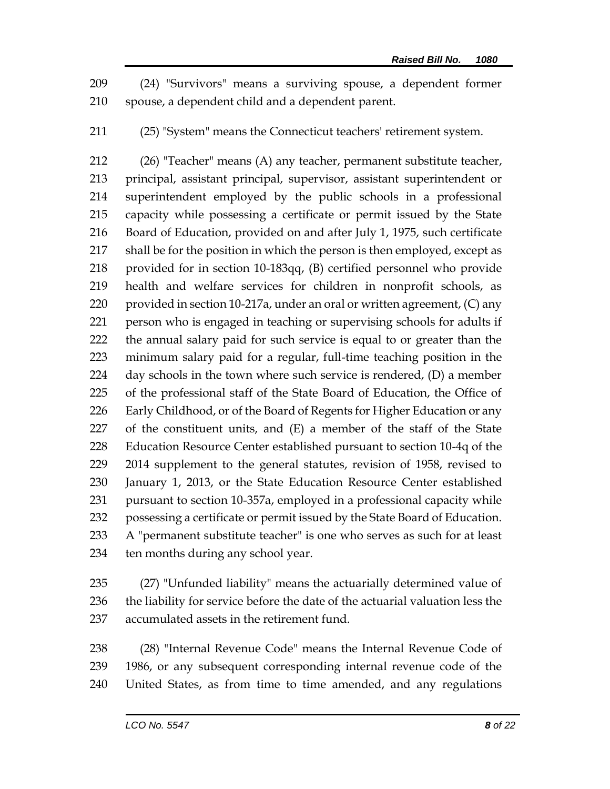(24) "Survivors" means a surviving spouse, a dependent former spouse, a dependent child and a dependent parent.

(25) "System" means the Connecticut teachers' retirement system.

 (26) "Teacher" means (A) any teacher, permanent substitute teacher, principal, assistant principal, supervisor, assistant superintendent or superintendent employed by the public schools in a professional capacity while possessing a certificate or permit issued by the State Board of Education, provided on and after July 1, 1975, such certificate shall be for the position in which the person is then employed, except as provided for in section 10-183qq, (B) certified personnel who provide health and welfare services for children in nonprofit schools, as 220 provided in section 10-217a, under an oral or written agreement, (C) any person who is engaged in teaching or supervising schools for adults if the annual salary paid for such service is equal to or greater than the minimum salary paid for a regular, full-time teaching position in the day schools in the town where such service is rendered, (D) a member of the professional staff of the State Board of Education, the Office of Early Childhood, or of the Board of Regents for Higher Education or any of the constituent units, and (E) a member of the staff of the State Education Resource Center established pursuant to section 10-4q of the 2014 supplement to the general statutes, revision of 1958, revised to January 1, 2013, or the State Education Resource Center established pursuant to section 10-357a, employed in a professional capacity while possessing a certificate or permit issued by the State Board of Education. A "permanent substitute teacher" is one who serves as such for at least ten months during any school year.

 (27) "Unfunded liability" means the actuarially determined value of 236 the liability for service before the date of the actuarial valuation less the accumulated assets in the retirement fund.

 (28) "Internal Revenue Code" means the Internal Revenue Code of 1986, or any subsequent corresponding internal revenue code of the United States, as from time to time amended, and any regulations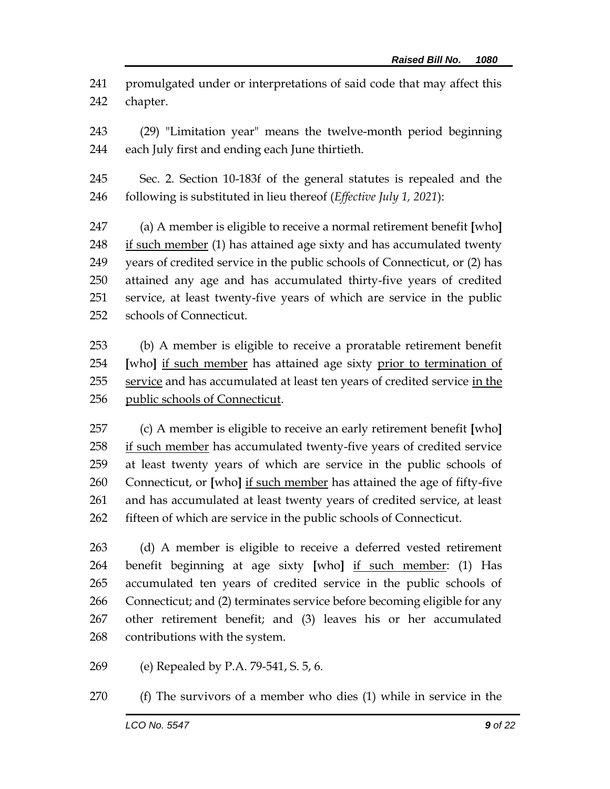promulgated under or interpretations of said code that may affect this chapter.

 (29) "Limitation year" means the twelve-month period beginning each July first and ending each June thirtieth.

 Sec. 2. Section 10-183f of the general statutes is repealed and the following is substituted in lieu thereof (*Effective July 1, 2021*):

 (a) A member is eligible to receive a normal retirement benefit **[**who**]** 248 if such member (1) has attained age sixty and has accumulated twenty years of credited service in the public schools of Connecticut, or (2) has attained any age and has accumulated thirty-five years of credited service, at least twenty-five years of which are service in the public schools of Connecticut.

 (b) A member is eligible to receive a proratable retirement benefit **[**who**]** if such member has attained age sixty prior to termination of 255 service and has accumulated at least ten years of credited service in the public schools of Connecticut.

 (c) A member is eligible to receive an early retirement benefit **[**who**]** if such member has accumulated twenty-five years of credited service at least twenty years of which are service in the public schools of Connecticut, or **[**who**]** if such member has attained the age of fifty-five and has accumulated at least twenty years of credited service, at least fifteen of which are service in the public schools of Connecticut.

 (d) A member is eligible to receive a deferred vested retirement benefit beginning at age sixty **[**who**]** if such member: (1) Has accumulated ten years of credited service in the public schools of Connecticut; and (2) terminates service before becoming eligible for any other retirement benefit; and (3) leaves his or her accumulated contributions with the system.

(e) Repealed by P.A. 79-541, S. 5, 6.

(f) The survivors of a member who dies (1) while in service in the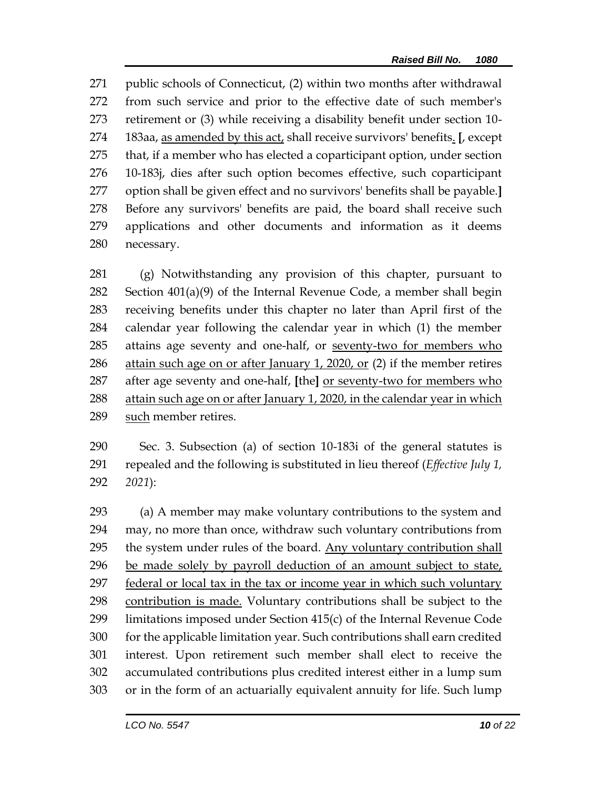public schools of Connecticut, (2) within two months after withdrawal from such service and prior to the effective date of such member's retirement or (3) while receiving a disability benefit under section 10- 183aa, as amended by this act, shall receive survivors' benefits. **[**, except that, if a member who has elected a coparticipant option, under section 10-183j, dies after such option becomes effective, such coparticipant option shall be given effect and no survivors' benefits shall be payable.**]** Before any survivors' benefits are paid, the board shall receive such applications and other documents and information as it deems necessary.

 (g) Notwithstanding any provision of this chapter, pursuant to Section 401(a)(9) of the Internal Revenue Code, a member shall begin receiving benefits under this chapter no later than April first of the calendar year following the calendar year in which (1) the member 285 attains age seventy and one-half, or seventy-two for members who attain such age on or after January 1, 2020, or (2) if the member retires after age seventy and one-half, **[**the**]** or seventy-two for members who 288 attain such age on or after January 1, 2020, in the calendar year in which such member retires.

 Sec. 3. Subsection (a) of section 10-183i of the general statutes is repealed and the following is substituted in lieu thereof (*Effective July 1, 2021*):

 (a) A member may make voluntary contributions to the system and may, no more than once, withdraw such voluntary contributions from the system under rules of the board. Any voluntary contribution shall be made solely by payroll deduction of an amount subject to state, federal or local tax in the tax or income year in which such voluntary contribution is made. Voluntary contributions shall be subject to the limitations imposed under Section 415(c) of the Internal Revenue Code for the applicable limitation year. Such contributions shall earn credited interest. Upon retirement such member shall elect to receive the accumulated contributions plus credited interest either in a lump sum or in the form of an actuarially equivalent annuity for life. Such lump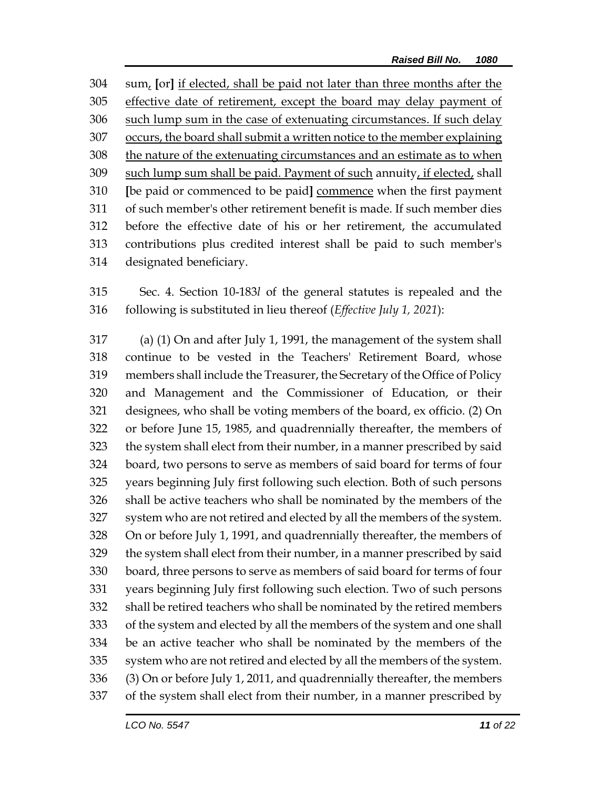sum, **[**or**]** if elected, shall be paid not later than three months after the effective date of retirement, except the board may delay payment of such lump sum in the case of extenuating circumstances. If such delay occurs, the board shall submit a written notice to the member explaining the nature of the extenuating circumstances and an estimate as to when such lump sum shall be paid. Payment of such annuity, if elected, shall **[**be paid or commenced to be paid**]** commence when the first payment of such member's other retirement benefit is made. If such member dies before the effective date of his or her retirement, the accumulated contributions plus credited interest shall be paid to such member's designated beneficiary.

 Sec. 4. Section 10-183*l* of the general statutes is repealed and the following is substituted in lieu thereof (*Effective July 1, 2021*):

 (a) (1) On and after July 1, 1991, the management of the system shall continue to be vested in the Teachers' Retirement Board, whose members shall include the Treasurer, the Secretary of the Office of Policy and Management and the Commissioner of Education, or their designees, who shall be voting members of the board, ex officio. (2) On or before June 15, 1985, and quadrennially thereafter, the members of the system shall elect from their number, in a manner prescribed by said board, two persons to serve as members of said board for terms of four years beginning July first following such election. Both of such persons shall be active teachers who shall be nominated by the members of the system who are not retired and elected by all the members of the system. On or before July 1, 1991, and quadrennially thereafter, the members of the system shall elect from their number, in a manner prescribed by said board, three persons to serve as members of said board for terms of four years beginning July first following such election. Two of such persons shall be retired teachers who shall be nominated by the retired members of the system and elected by all the members of the system and one shall be an active teacher who shall be nominated by the members of the system who are not retired and elected by all the members of the system. (3) On or before July 1, 2011, and quadrennially thereafter, the members of the system shall elect from their number, in a manner prescribed by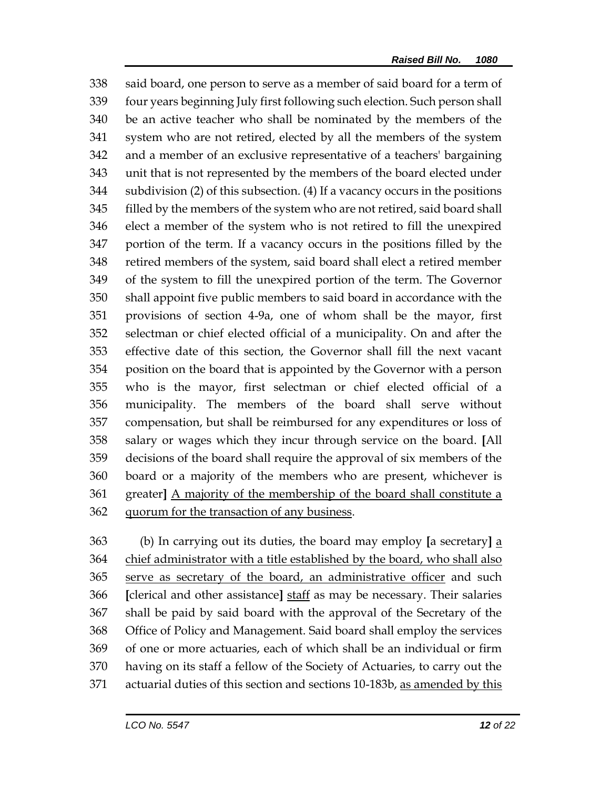said board, one person to serve as a member of said board for a term of four years beginning July first following such election. Such person shall be an active teacher who shall be nominated by the members of the system who are not retired, elected by all the members of the system and a member of an exclusive representative of a teachers' bargaining unit that is not represented by the members of the board elected under subdivision (2) of this subsection. (4) If a vacancy occurs in the positions filled by the members of the system who are not retired, said board shall elect a member of the system who is not retired to fill the unexpired portion of the term. If a vacancy occurs in the positions filled by the retired members of the system, said board shall elect a retired member of the system to fill the unexpired portion of the term. The Governor shall appoint five public members to said board in accordance with the provisions of section 4-9a, one of whom shall be the mayor, first selectman or chief elected official of a municipality. On and after the effective date of this section, the Governor shall fill the next vacant position on the board that is appointed by the Governor with a person who is the mayor, first selectman or chief elected official of a municipality. The members of the board shall serve without compensation, but shall be reimbursed for any expenditures or loss of salary or wages which they incur through service on the board. **[**All decisions of the board shall require the approval of six members of the board or a majority of the members who are present, whichever is greater**]** A majority of the membership of the board shall constitute a quorum for the transaction of any business.

 (b) In carrying out its duties, the board may employ **[**a secretary**]** a chief administrator with a title established by the board, who shall also serve as secretary of the board, an administrative officer and such **[**clerical and other assistance**]** staff as may be necessary. Their salaries shall be paid by said board with the approval of the Secretary of the Office of Policy and Management. Said board shall employ the services of one or more actuaries, each of which shall be an individual or firm having on its staff a fellow of the Society of Actuaries, to carry out the 371 actuarial duties of this section and sections 10-183b, as amended by this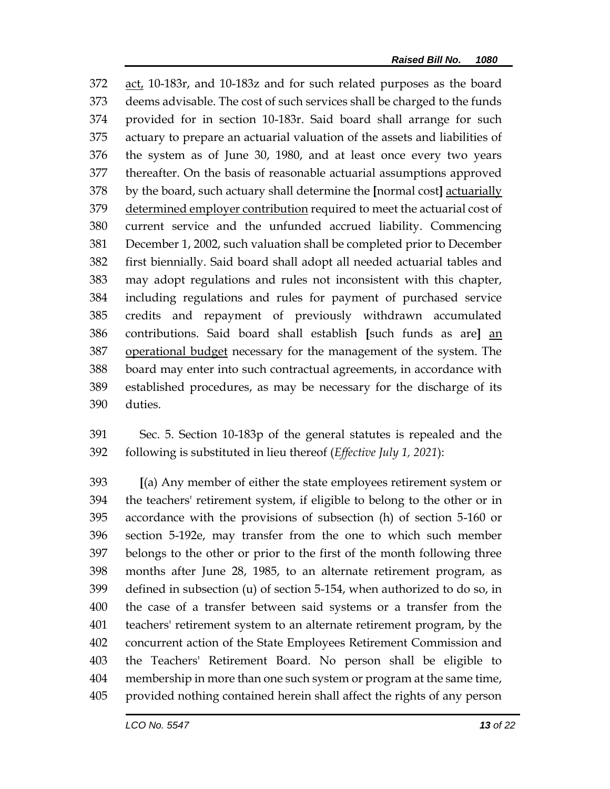act, 10-183r, and 10-183z and for such related purposes as the board deems advisable. The cost of such services shall be charged to the funds provided for in section 10-183r. Said board shall arrange for such actuary to prepare an actuarial valuation of the assets and liabilities of the system as of June 30, 1980, and at least once every two years thereafter. On the basis of reasonable actuarial assumptions approved by the board, such actuary shall determine the **[**normal cost**]** actuarially determined employer contribution required to meet the actuarial cost of current service and the unfunded accrued liability. Commencing December 1, 2002, such valuation shall be completed prior to December first biennially. Said board shall adopt all needed actuarial tables and may adopt regulations and rules not inconsistent with this chapter, including regulations and rules for payment of purchased service credits and repayment of previously withdrawn accumulated contributions. Said board shall establish **[**such funds as are**]** an operational budget necessary for the management of the system. The board may enter into such contractual agreements, in accordance with established procedures, as may be necessary for the discharge of its duties.

 Sec. 5. Section 10-183p of the general statutes is repealed and the following is substituted in lieu thereof (*Effective July 1, 2021*):

 **[**(a) Any member of either the state employees retirement system or the teachers' retirement system, if eligible to belong to the other or in accordance with the provisions of subsection (h) of section 5-160 or section 5-192e, may transfer from the one to which such member belongs to the other or prior to the first of the month following three months after June 28, 1985, to an alternate retirement program, as defined in subsection (u) of section 5-154, when authorized to do so, in the case of a transfer between said systems or a transfer from the teachers' retirement system to an alternate retirement program, by the concurrent action of the State Employees Retirement Commission and the Teachers' Retirement Board. No person shall be eligible to membership in more than one such system or program at the same time, provided nothing contained herein shall affect the rights of any person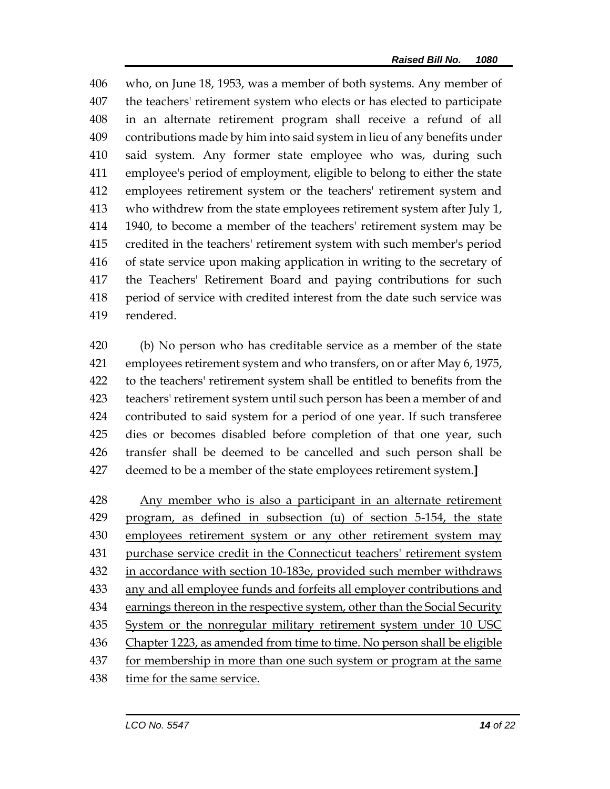who, on June 18, 1953, was a member of both systems. Any member of the teachers' retirement system who elects or has elected to participate in an alternate retirement program shall receive a refund of all contributions made by him into said system in lieu of any benefits under said system. Any former state employee who was, during such employee's period of employment, eligible to belong to either the state employees retirement system or the teachers' retirement system and who withdrew from the state employees retirement system after July 1, 1940, to become a member of the teachers' retirement system may be credited in the teachers' retirement system with such member's period of state service upon making application in writing to the secretary of the Teachers' Retirement Board and paying contributions for such period of service with credited interest from the date such service was rendered.

 (b) No person who has creditable service as a member of the state employees retirement system and who transfers, on or after May 6, 1975, to the teachers' retirement system shall be entitled to benefits from the teachers' retirement system until such person has been a member of and contributed to said system for a period of one year. If such transferee dies or becomes disabled before completion of that one year, such transfer shall be deemed to be cancelled and such person shall be deemed to be a member of the state employees retirement system.**]**

 Any member who is also a participant in an alternate retirement program, as defined in subsection (u) of section 5-154, the state 430 employees retirement system or any other retirement system may purchase service credit in the Connecticut teachers' retirement system in accordance with section 10-183e, provided such member withdraws any and all employee funds and forfeits all employer contributions and 434 earnings thereon in the respective system, other than the Social Security 435 System or the nonregular military retirement system under 10 USC 436 Chapter 1223, as amended from time to time. No person shall be eligible 437 for membership in more than one such system or program at the same time for the same service.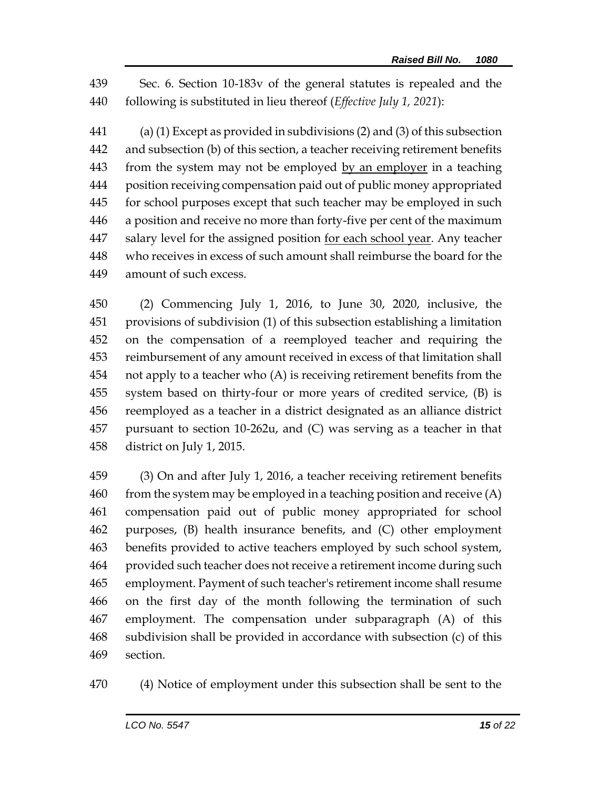Sec. 6. Section 10-183v of the general statutes is repealed and the following is substituted in lieu thereof (*Effective July 1, 2021*):

 (a) (1) Except as provided in subdivisions (2) and (3) of this subsection and subsection (b) of this section, a teacher receiving retirement benefits from the system may not be employed by an employer in a teaching position receiving compensation paid out of public money appropriated for school purposes except that such teacher may be employed in such a position and receive no more than forty-five per cent of the maximum salary level for the assigned position for each school year. Any teacher who receives in excess of such amount shall reimburse the board for the amount of such excess.

 (2) Commencing July 1, 2016, to June 30, 2020, inclusive, the provisions of subdivision (1) of this subsection establishing a limitation on the compensation of a reemployed teacher and requiring the reimbursement of any amount received in excess of that limitation shall not apply to a teacher who (A) is receiving retirement benefits from the system based on thirty-four or more years of credited service, (B) is reemployed as a teacher in a district designated as an alliance district pursuant to section 10-262u, and (C) was serving as a teacher in that district on July 1, 2015.

 (3) On and after July 1, 2016, a teacher receiving retirement benefits 460 from the system may be employed in a teaching position and receive  $(A)$  compensation paid out of public money appropriated for school purposes, (B) health insurance benefits, and (C) other employment benefits provided to active teachers employed by such school system, provided such teacher does not receive a retirement income during such employment. Payment of such teacher's retirement income shall resume on the first day of the month following the termination of such employment. The compensation under subparagraph (A) of this subdivision shall be provided in accordance with subsection (c) of this section.

(4) Notice of employment under this subsection shall be sent to the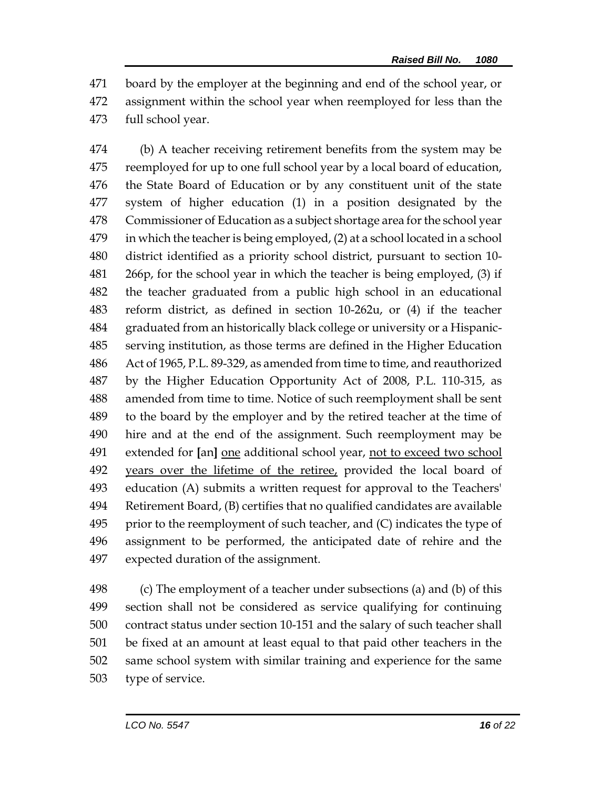board by the employer at the beginning and end of the school year, or assignment within the school year when reemployed for less than the full school year.

 (b) A teacher receiving retirement benefits from the system may be reemployed for up to one full school year by a local board of education, the State Board of Education or by any constituent unit of the state system of higher education (1) in a position designated by the Commissioner of Education as a subject shortage area for the school year in which the teacher is being employed, (2) at a school located in a school district identified as a priority school district, pursuant to section 10- 266p, for the school year in which the teacher is being employed, (3) if the teacher graduated from a public high school in an educational reform district, as defined in section 10-262u, or (4) if the teacher graduated from an historically black college or university or a Hispanic- serving institution, as those terms are defined in the Higher Education Act of 1965, P.L. 89-329, as amended from time to time, and reauthorized by the Higher Education Opportunity Act of 2008, P.L. 110-315, as amended from time to time. Notice of such reemployment shall be sent to the board by the employer and by the retired teacher at the time of hire and at the end of the assignment. Such reemployment may be extended for **[**an**]** one additional school year, not to exceed two school 492 years over the lifetime of the retiree, provided the local board of education (A) submits a written request for approval to the Teachers' Retirement Board, (B) certifies that no qualified candidates are available prior to the reemployment of such teacher, and  $(C)$  indicates the type of assignment to be performed, the anticipated date of rehire and the expected duration of the assignment.

 (c) The employment of a teacher under subsections (a) and (b) of this section shall not be considered as service qualifying for continuing contract status under section 10-151 and the salary of such teacher shall be fixed at an amount at least equal to that paid other teachers in the same school system with similar training and experience for the same type of service.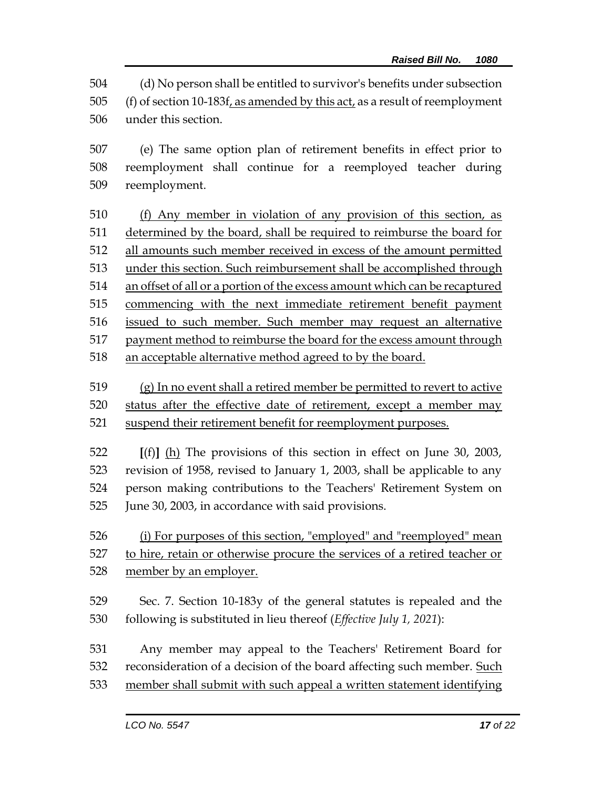(d) No person shall be entitled to survivor's benefits under subsection 505 (f) of section 10-183f, as amended by this act, as a result of reemployment under this section.

 (e) The same option plan of retirement benefits in effect prior to reemployment shall continue for a reemployed teacher during reemployment.

 (f) Any member in violation of any provision of this section, as determined by the board, shall be required to reimburse the board for all amounts such member received in excess of the amount permitted under this section. Such reimbursement shall be accomplished through an offset of all or a portion of the excess amount which can be recaptured commencing with the next immediate retirement benefit payment issued to such member. Such member may request an alternative payment method to reimburse the board for the excess amount through 518 an acceptable alternative method agreed to by the board.

 (g) In no event shall a retired member be permitted to revert to active status after the effective date of retirement, except a member may suspend their retirement benefit for reemployment purposes.

 **[**(f)**]** (h) The provisions of this section in effect on June 30, 2003, revision of 1958, revised to January 1, 2003, shall be applicable to any person making contributions to the Teachers' Retirement System on June 30, 2003, in accordance with said provisions.

 (i) For purposes of this section, "employed" and "reemployed" mean to hire, retain or otherwise procure the services of a retired teacher or member by an employer.

 Sec. 7. Section 10-183y of the general statutes is repealed and the following is substituted in lieu thereof (*Effective July 1, 2021*):

 Any member may appeal to the Teachers' Retirement Board for 532 reconsideration of a decision of the board affecting such member. Such member shall submit with such appeal a written statement identifying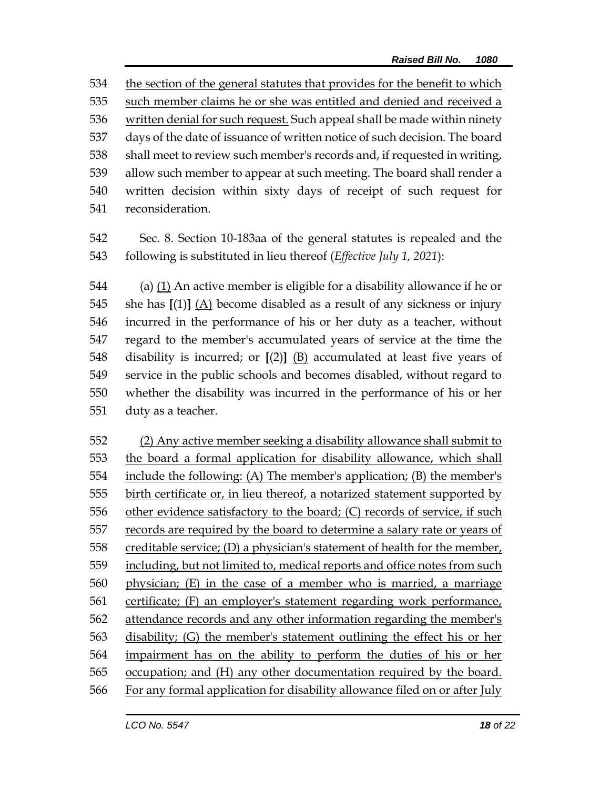the section of the general statutes that provides for the benefit to which such member claims he or she was entitled and denied and received a written denial for such request. Such appeal shall be made within ninety days of the date of issuance of written notice of such decision. The board shall meet to review such member's records and, if requested in writing, allow such member to appear at such meeting. The board shall render a written decision within sixty days of receipt of such request for reconsideration.

 Sec. 8. Section 10-183aa of the general statutes is repealed and the following is substituted in lieu thereof (*Effective July 1, 2021*):

 (a) (1) An active member is eligible for a disability allowance if he or she has **[**(1)**]** (A) become disabled as a result of any sickness or injury incurred in the performance of his or her duty as a teacher, without regard to the member's accumulated years of service at the time the disability is incurred; or **[**(2)**]** (B) accumulated at least five years of service in the public schools and becomes disabled, without regard to whether the disability was incurred in the performance of his or her duty as a teacher.

 (2) Any active member seeking a disability allowance shall submit to the board a formal application for disability allowance, which shall include the following: (A) The member's application; (B) the member's birth certificate or, in lieu thereof, a notarized statement supported by other evidence satisfactory to the board; (C) records of service, if such records are required by the board to determine a salary rate or years of creditable service; (D) a physician's statement of health for the member, including, but not limited to, medical reports and office notes from such physician; (E) in the case of a member who is married, a marriage certificate; (F) an employer's statement regarding work performance, 562 attendance records and any other information regarding the member's disability; (G) the member's statement outlining the effect his or her impairment has on the ability to perform the duties of his or her occupation; and (H) any other documentation required by the board. For any formal application for disability allowance filed on or after July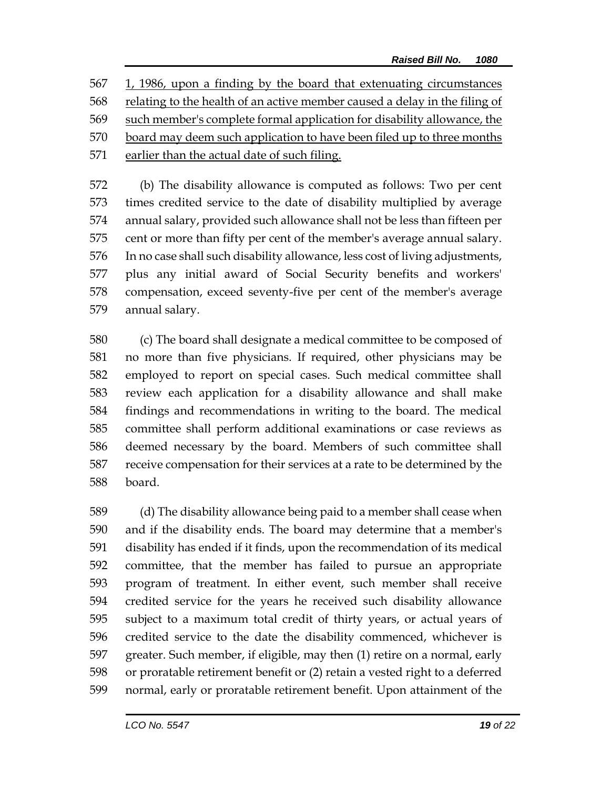1, 1986, upon a finding by the board that extenuating circumstances relating to the health of an active member caused a delay in the filing of such member's complete formal application for disability allowance, the board may deem such application to have been filed up to three months earlier than the actual date of such filing.

 (b) The disability allowance is computed as follows: Two per cent times credited service to the date of disability multiplied by average annual salary, provided such allowance shall not be less than fifteen per cent or more than fifty per cent of the member's average annual salary. In no case shall such disability allowance, less cost of living adjustments, plus any initial award of Social Security benefits and workers' compensation, exceed seventy-five per cent of the member's average annual salary.

 (c) The board shall designate a medical committee to be composed of no more than five physicians. If required, other physicians may be employed to report on special cases. Such medical committee shall review each application for a disability allowance and shall make findings and recommendations in writing to the board. The medical committee shall perform additional examinations or case reviews as deemed necessary by the board. Members of such committee shall receive compensation for their services at a rate to be determined by the board.

 (d) The disability allowance being paid to a member shall cease when and if the disability ends. The board may determine that a member's disability has ended if it finds, upon the recommendation of its medical committee, that the member has failed to pursue an appropriate program of treatment. In either event, such member shall receive credited service for the years he received such disability allowance subject to a maximum total credit of thirty years, or actual years of credited service to the date the disability commenced, whichever is greater. Such member, if eligible, may then (1) retire on a normal, early or proratable retirement benefit or (2) retain a vested right to a deferred normal, early or proratable retirement benefit. Upon attainment of the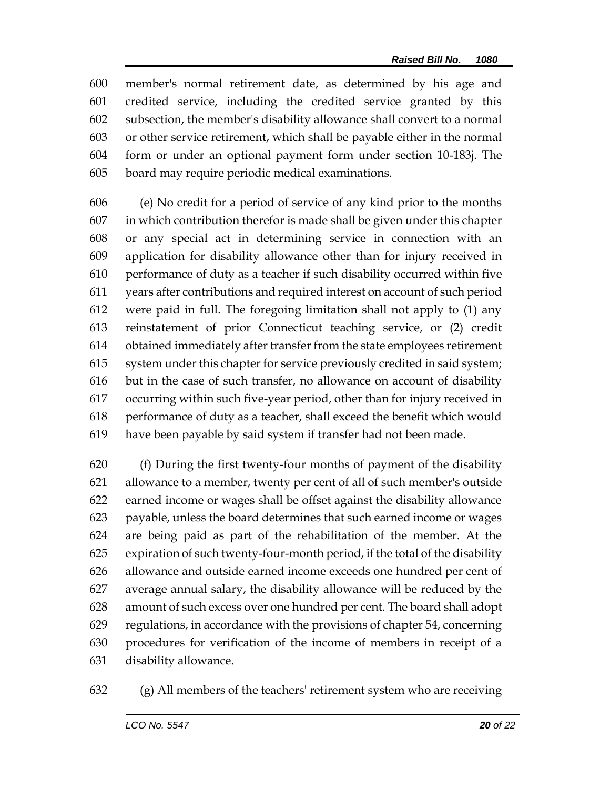member's normal retirement date, as determined by his age and credited service, including the credited service granted by this subsection, the member's disability allowance shall convert to a normal or other service retirement, which shall be payable either in the normal form or under an optional payment form under section 10-183j. The board may require periodic medical examinations.

 (e) No credit for a period of service of any kind prior to the months in which contribution therefor is made shall be given under this chapter or any special act in determining service in connection with an application for disability allowance other than for injury received in performance of duty as a teacher if such disability occurred within five years after contributions and required interest on account of such period were paid in full. The foregoing limitation shall not apply to (1) any reinstatement of prior Connecticut teaching service, or (2) credit obtained immediately after transfer from the state employees retirement system under this chapter for service previously credited in said system; but in the case of such transfer, no allowance on account of disability occurring within such five-year period, other than for injury received in performance of duty as a teacher, shall exceed the benefit which would have been payable by said system if transfer had not been made.

 (f) During the first twenty-four months of payment of the disability allowance to a member, twenty per cent of all of such member's outside earned income or wages shall be offset against the disability allowance payable, unless the board determines that such earned income or wages are being paid as part of the rehabilitation of the member. At the expiration of such twenty-four-month period, if the total of the disability allowance and outside earned income exceeds one hundred per cent of average annual salary, the disability allowance will be reduced by the amount of such excess over one hundred per cent. The board shall adopt regulations, in accordance with the provisions of chapter 54, concerning procedures for verification of the income of members in receipt of a disability allowance.

(g) All members of the teachers' retirement system who are receiving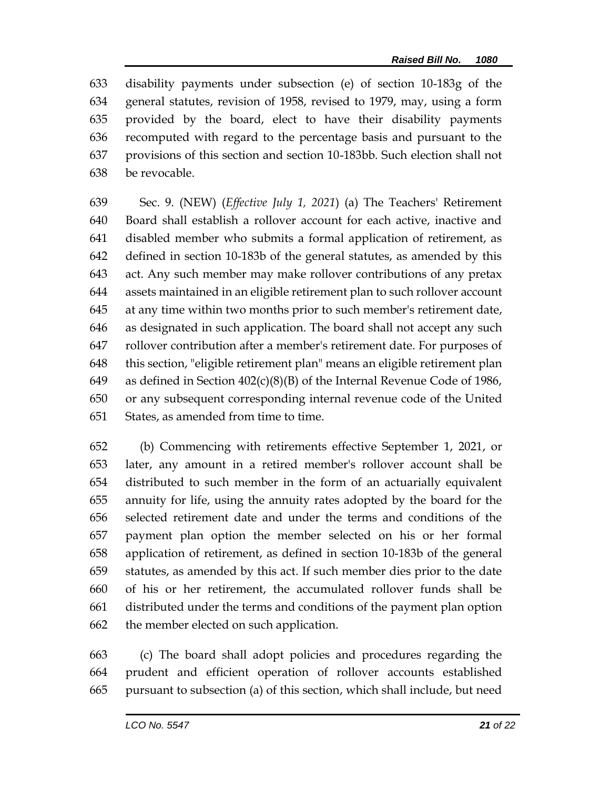disability payments under subsection (e) of section 10-183g of the general statutes, revision of 1958, revised to 1979, may, using a form provided by the board, elect to have their disability payments recomputed with regard to the percentage basis and pursuant to the provisions of this section and section 10-183bb. Such election shall not be revocable.

 Sec. 9. (NEW) (*Effective July 1, 2021*) (a) The Teachers' Retirement Board shall establish a rollover account for each active, inactive and disabled member who submits a formal application of retirement, as defined in section 10-183b of the general statutes, as amended by this act. Any such member may make rollover contributions of any pretax assets maintained in an eligible retirement plan to such rollover account at any time within two months prior to such member's retirement date, as designated in such application. The board shall not accept any such rollover contribution after a member's retirement date. For purposes of this section, "eligible retirement plan" means an eligible retirement plan as defined in Section 402(c)(8)(B) of the Internal Revenue Code of 1986, or any subsequent corresponding internal revenue code of the United States, as amended from time to time.

 (b) Commencing with retirements effective September 1, 2021, or later, any amount in a retired member's rollover account shall be distributed to such member in the form of an actuarially equivalent annuity for life, using the annuity rates adopted by the board for the selected retirement date and under the terms and conditions of the payment plan option the member selected on his or her formal application of retirement, as defined in section 10-183b of the general statutes, as amended by this act. If such member dies prior to the date of his or her retirement, the accumulated rollover funds shall be distributed under the terms and conditions of the payment plan option the member elected on such application.

 (c) The board shall adopt policies and procedures regarding the prudent and efficient operation of rollover accounts established pursuant to subsection (a) of this section, which shall include, but need